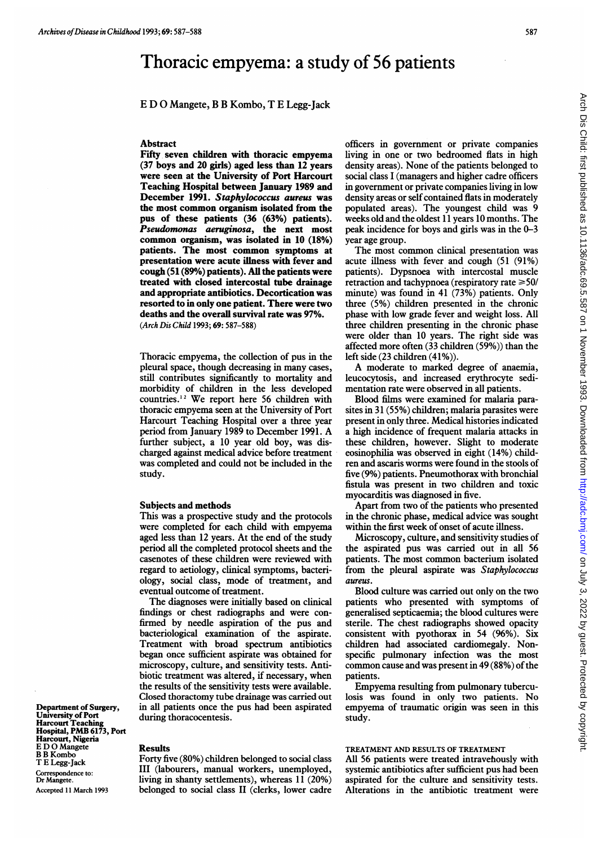# Thoracic empyema: a study of 56 patients

E D 0 Mangete, B B Kombo, T E Legg-Jack

## Abstract

Fifty seven children with thoracic empyema (37 boys and 20 girls) aged less than 12 years were seen at the University of Port Harcourt Teaching Hospital between January 1989 and December 1991. Staphylococcus aureus was the most common organism isolated from the pus of these patients (36 (63%) patients). Pseudomonas aeruginosa, the next most common organism, was isolated in 10 (18%) patients. The most common symptoms at presentation were acute illness with fever and cough (51 (89%) patients). AU the patients were treated with closed intercostal tube drainage and appropriate antibiotics. Decortication was resorted to in only one patient. There were two deaths and the overall survival rate was 97%. (Arch Dis Child 1993; 69: 587-588)

Thoracic empyema, the collection of pus in the pleural space, though decreasing in many cases, still contributes significantly to mortality and morbidity of children in the less developed countries.'2 We report here <sup>56</sup> children with thoracic empyema seen at the University of Port Harcourt Teaching Hospital over a three year period from January <sup>1989</sup> to December 1991. A further subject, a 10 year old boy, was discharged against medical advice before treatment was completed and could not be included in the study.

### Subjects and methods

This was a prospective study and the protocols were completed for each child with empyema aged less than 12 years. At the end of the study period all the completed protocol sheets and the casenotes of these children were reviewed with regard to aetiology, clinical symptoms, bacteriology, social class, mode of treatment, and eventual outcome of treatment.

The diagnoses were initially based on clinical findings or chest radiographs and were confirmed by needle aspiration of the pus and bacteriological examination of the aspirate. Treatment with broad spectrum antibiotics began once sufficient aspirate was obtained for microscopy, culture, and sensitivity tests. Antibiotic treatment was altered, if necessary, when the results of the sensitivity tests were available. Closed thoractomy tube drainage was carried out in all patients once the pus had been aspirated during thoracocentesis.

Department of Surgery, University of Port Harcourt Teaching Hospital, PMB 6173, Port Harcourt, Nigeria E DO Mangete B B Kombo T E Legg-Jack Correspondence to: Dr Mangete. Accepted <sup>11</sup> March 1993

# Results

Forty five (80%) children belonged to social class III (labourers, manual workers, unemployed, living in shanty settlements), whereas 11 (20%) belonged to social class II (clerks, lower cadre officers in government or private companies living in one or two bedroomed flats in high density areas). None of the patients belonged to social class <sup>I</sup> (managers and higher cadre officers in government or private companies living in low density areas or self contained flats in moderately populated areas). The youngest child was 9 weeks old and the oldest <sup>11</sup> years 10 months. The peak incidence for boys and girls was in the 0-3 year age group.

The most common clinical presentation was acute illness with fever and cough (51 (91%) patients). Dypsnoea with intercostal muscle retraction and tachypnoea (respiratory rate  $\geq 50/$ minute) was found in 41 (73%) patients. Only three (5%) children presented in the chronic phase with low grade fever and weight loss. All three children presenting in the chronic phase were older than 10 years. The right side was affected more often (33 children (59%)) than the left side (23 children (41%)).

A moderate to marked degree of anaemia, leucocytosis, and increased erythrocyte sedimentation rate were observed in all patients.

Blood films were examined for malaria parasites in 31 (55%) children; malaria parasites were present in only three. Medical histories indicated a high incidence of frequent malaria attacks in these children, however. Slight to moderate eosinophilia was observed in eight (14%) children and ascaris worms were found in the stools of five (9%) patients. Pneumothorax with bronchial fistula was present in two children and toxic myocarditis was diagnosed in five.

Apart from two of the patients who presented in the chronic phase, medical advice was sought within the first week of onset of acute illness.

Microscopy, culture, and sensitivity studies of the aspirated pus was carried out in all 56 patients. The most common bacterium isolated from the pleural aspirate was Staphylococcus aureus.

Blood culture was carried out only on the two patients who presented with symptoms of generalised septicaemia; the blood cultures were sterile. The chest radiographs showed opacity consistent with pyothorax in 54 (96%). Six children had associated cardiomegaly. Nonspecific pulmonary infection was the most common cause and was present in 49 (88%) of the patients.

Empyema resulting from pulmonary tuberculosis was found in only two patients. No empyema of traumatic origin was seen in this study.

### TREATMENT AND RESULTS OF TREATMENT

All 56 patients were treated intravehously with systemic antibiotics after sufficient pus had been aspirated for the culture and sensitivity tests. Alterations in the antibiotic treatment were